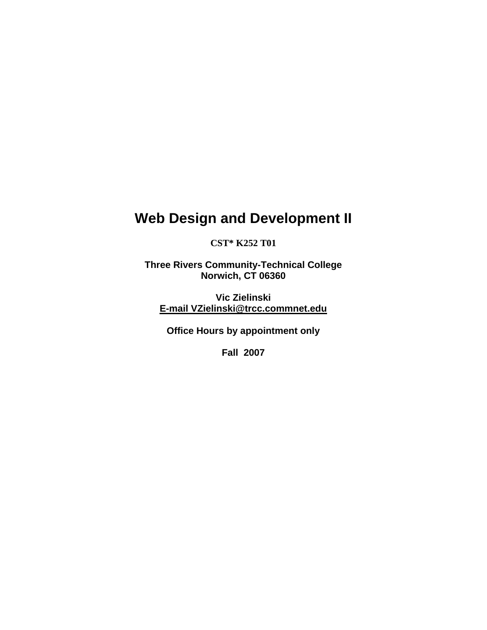# **Web Design and Development II**

**CST\* K252 T01**

**Three Rivers Community-Technical College Norwich, CT 06360**

**Vic Zielinski E-mail VZielinski@trcc.commnet.edu**

**Office Hours by appointment only**

**Fall 2007**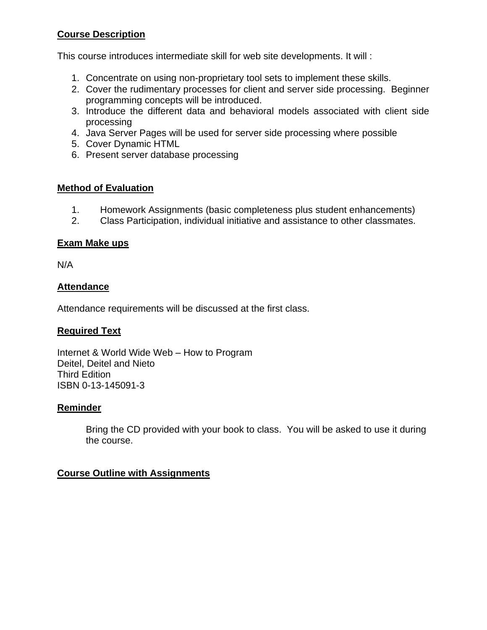# **Course Description**

This course introduces intermediate skill for web site developments. It will :

- 1. Concentrate on using non-proprietary tool sets to implement these skills.
- 2. Cover the rudimentary processes for client and server side processing. Beginner programming concepts will be introduced.
- 3. Introduce the different data and behavioral models associated with client side processing
- 4. Java Server Pages will be used for server side processing where possible
- 5. Cover Dynamic HTML
- 6. Present server database processing

#### **Method of Evaluation**

- 1. Homework Assignments (basic completeness plus student enhancements)
- 2. Class Participation, individual initiative and assistance to other classmates.

#### **Exam Make ups**

N/A

#### **Attendance**

Attendance requirements will be discussed at the first class.

# **Required Text**

Internet & World Wide Web – How to Program Deitel, Deitel and Nieto Third Edition ISBN 0-13-145091-3

#### **Reminder**

Bring the CD provided with your book to class. You will be asked to use it during the course.

#### **Course Outline with Assignments**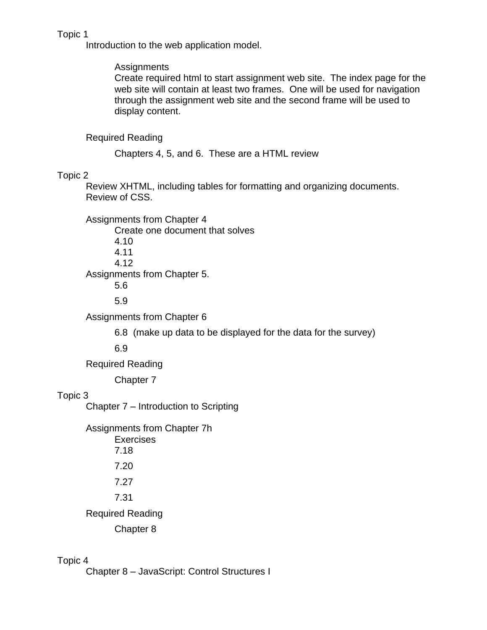#### Topic 1

Introduction to the web application model.

#### **Assignments**

Create required html to start assignment web site. The index page for the web site will contain at least two frames. One will be used for navigation through the assignment web site and the second frame will be used to display content.

# Required Reading

Chapters 4, 5, and 6. These are a HTML review

# Topic 2

Review XHTML, including tables for formatting and organizing documents. Review of CSS.

Assignments from Chapter 4

Create one document that solves

4.10

4.11

4.12

Assignments from Chapter 5.

5.6

5.9

Assignments from Chapter 6

6.8 (make up data to be displayed for the data for the survey)

6.9

Required Reading

Chapter 7

# Topic 3

Chapter 7 – Introduction to Scripting

Assignments from Chapter 7h **Exercises** 7.18 7.20 7.27 7.31 Required Reading Chapter 8

# Topic 4

Chapter 8 – JavaScript: Control Structures I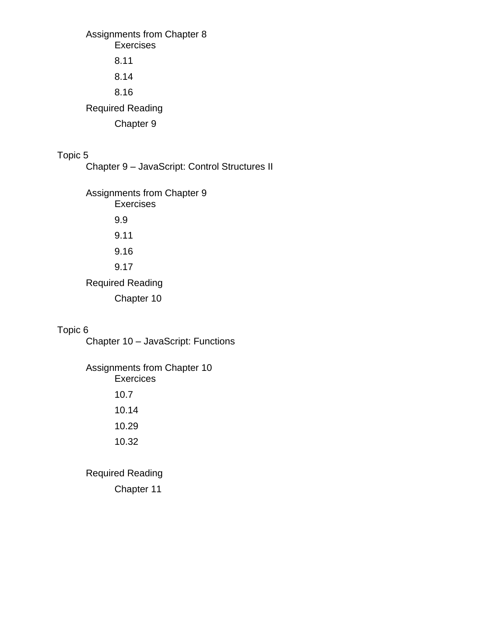Assignments from Chapter 8 Exercises 8.11 8.14 8.16 Required Reading Chapter 9

# Topic 5

Chapter 9 – JavaScript: Control Structures II

Assignments from Chapter 9 Exercises 9.9 9.11 9.16 9.17 Required Reading Chapter 10

# Topic 6

Chapter 10 – JavaScript: Functions

Assignments from Chapter 10 **Exercices** 10.7 10.14 10.29 10.32

Required Reading Chapter 11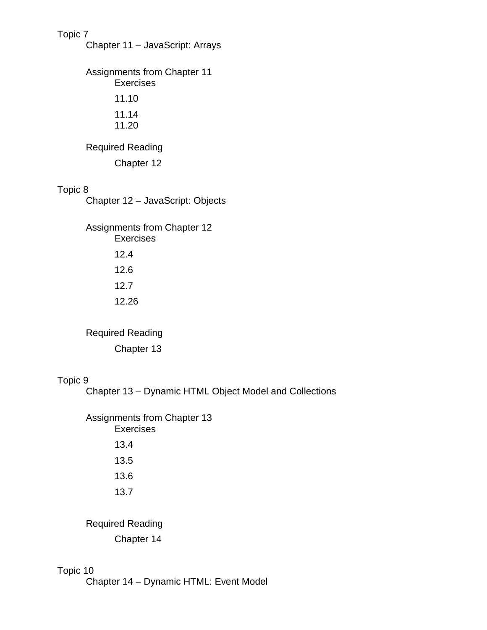# Topic 7

Chapter 11 – JavaScript: Arrays

Assignments from Chapter 11 Exercises

11.10

11.14

11.20

Required Reading

Chapter 12

# Topic 8

Chapter 12 – JavaScript: Objects

Assignments from Chapter 12 Exercises 12.4 12.6 12.7 12.26

Required Reading

Chapter 13

# Topic 9

Chapter 13 – Dynamic HTML Object Model and Collections

Assignments from Chapter 13 Exercises 13.4 13.5 13.6 13.7

Required Reading

Chapter 14

# Topic 10

Chapter 14 – Dynamic HTML: Event Model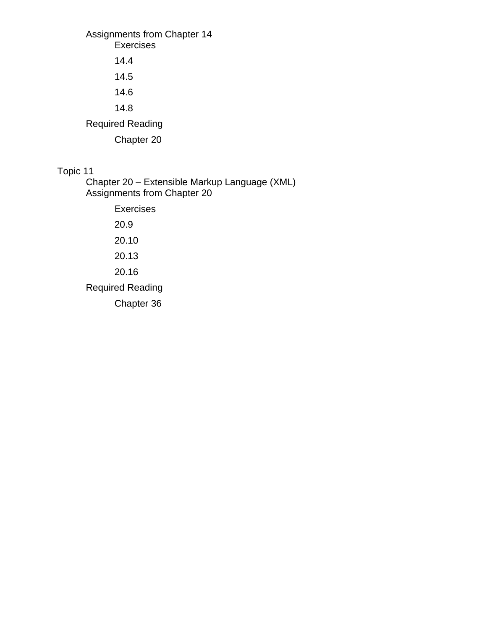Assignments from Chapter 14 Exercises 14.4 14.5 14.6 14.8 Required Reading Chapter 20

# Topic 11

Chapter 20 – Extensible Markup Language (XML) Assignments from Chapter 20

Exercises

20.9

20.10

20.13

20.16

Required Reading

Chapter 36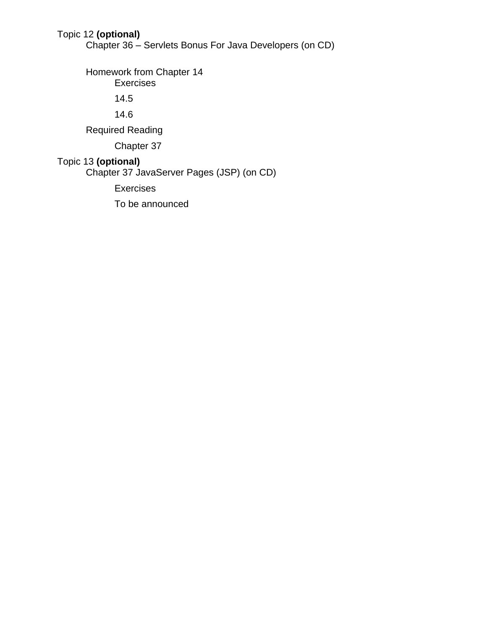#### Topic 12 **(optional)**

Chapter 36 – Servlets Bonus For Java Developers (on CD)

Homework from Chapter 14 **Exercises** 

14.5

14.6

Required Reading

Chapter 37

#### Topic 13 **(optional)**

Chapter 37 JavaServer Pages (JSP) (on CD)

Exercises

To be announced